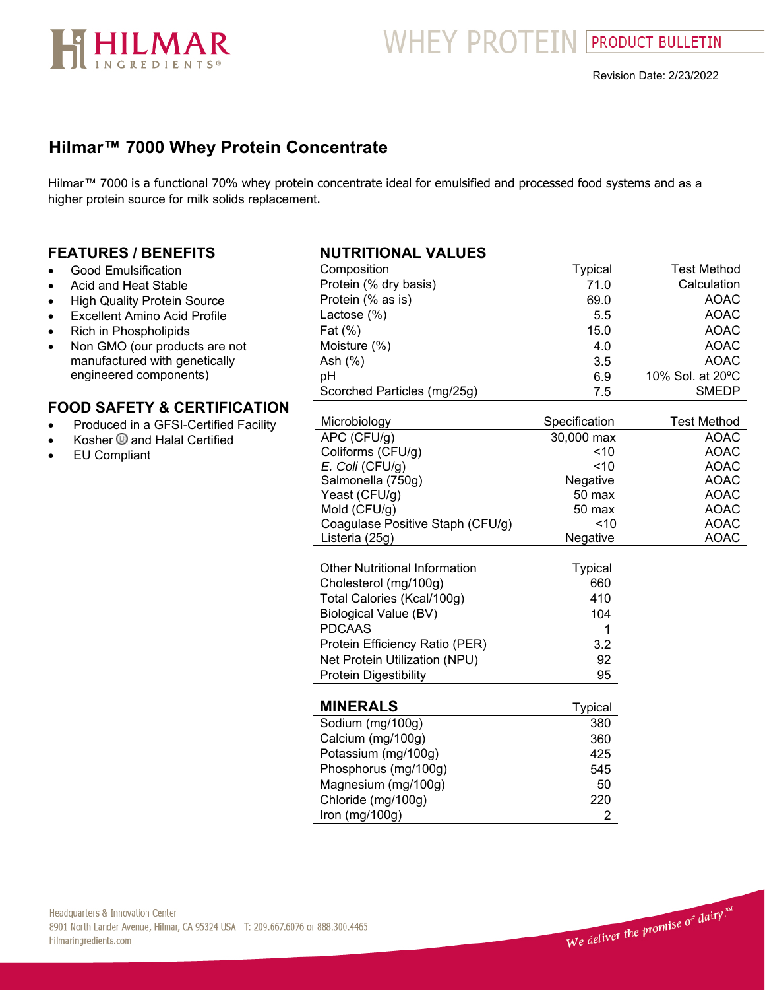

**WHEY PROTEIN PRODUCT BULLETIN** 

# **Hilmar™ 7000 Whey Protein Concentrate**

Hilmar™ 7000 is a functional 70% whey protein concentrate ideal for emulsified and processed food systems and as a higher protein source for milk solids replacement.

### **FEATURES / BENEFITS**

- Good Emulsification
- Acid and Heat Stable
- High Quality Protein Source
- Excellent Amino Acid Profile
- Rich in Phospholipids
- Non GMO (our products are not manufactured with genetically engineered components)

### **FOOD SAFETY & CERTIFICATION**

- Produced in a GFSI-Certified Facility
- Kosher @ and Halal Certified
- EU Compliant

### **NUTRITIONAL VALUES**

| Composition                          | <b>Typical</b> | <b>Test Method</b> |
|--------------------------------------|----------------|--------------------|
| Protein (% dry basis)                | 71.0           | Calculation        |
| Protein (% as is)                    | 69.0           | <b>AOAC</b>        |
| Lactose (%)                          | 5.5            | <b>AOAC</b>        |
| Fat (%)                              | 15.0           | <b>AOAC</b>        |
| Moisture (%)                         | 4.0            | <b>AOAC</b>        |
| Ash (%)                              | 3.5            | <b>AOAC</b>        |
| pH                                   | 6.9            | 10% Sol. at 20°C   |
| Scorched Particles (mg/25g)          | 7.5            | <b>SMEDP</b>       |
| Microbiology                         | Specification  | <b>Test Method</b> |
| APC (CFU/g)                          | 30,000 max     | <b>AOAC</b>        |
| Coliforms (CFU/g)                    | ~10            | <b>AOAC</b>        |
| E. Coli (CFU/g)                      | ~10            | <b>AOAC</b>        |
| Salmonella (750g)                    | Negative       | <b>AOAC</b>        |
| Yeast (CFU/g)                        | 50 max         | <b>AOAC</b>        |
| Mold (CFU/g)                         | 50 max         | <b>AOAC</b>        |
| Coagulase Positive Staph (CFU/g)     | 10             | <b>AOAC</b>        |
| Listeria (25g)                       | Negative       | <b>AOAC</b>        |
|                                      |                |                    |
| <b>Other Nutritional Information</b> | <b>Typical</b> |                    |
| Cholesterol (mg/100g)                | 660            |                    |
| Total Calories (Kcal/100g)           | 410            |                    |
| <b>Biological Value (BV)</b>         | 104            |                    |
| <b>PDCAAS</b>                        | 1              |                    |
| Protein Efficiency Ratio (PER)       | 3.2            |                    |
| Net Protein Utilization (NPU)        | 92             |                    |
| <b>Protein Digestibility</b>         | 95             |                    |
| <b>MINERALS</b>                      | <b>Typical</b> |                    |
| Sodium (mg/100g)                     | 380            |                    |
| Calcium (mg/100g)                    | 360            |                    |
| Potassium (mg/100g)                  | 425            |                    |
| Phosphorus (mg/100g)                 | 545            |                    |
| Magnesium (mg/100g)                  | 50             |                    |
| Chloride (mg/100g)                   | 220            |                    |
| Iron (mg/100g)                       | $\overline{2}$ |                    |
|                                      |                |                    |